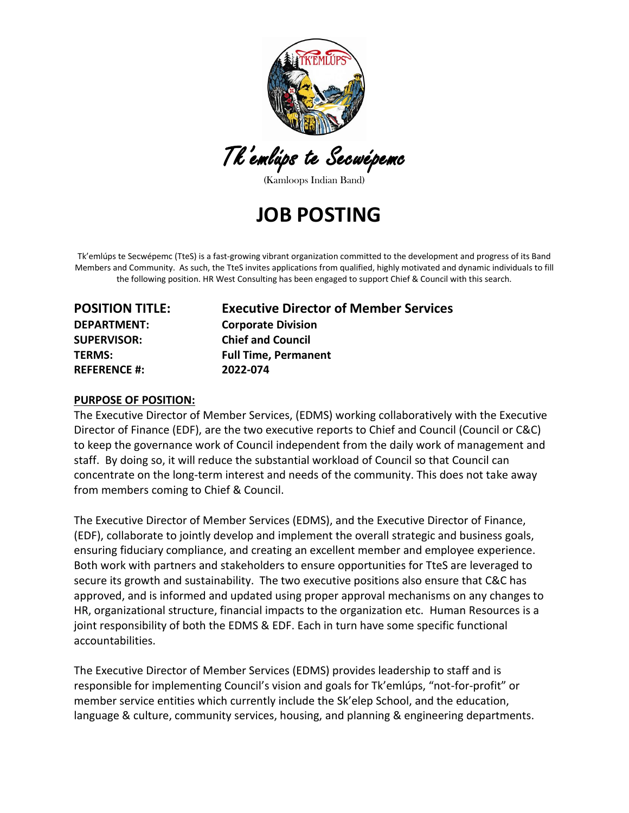

Tk'emlúps te Secwépemc

(Kamloops Indian Band)

# **JOB POSTING**

Tk'emlúps te Secwépemc (TteS) is a fast-growing vibrant organization committed to the development and progress of its Band Members and Community. As such, the TteS invites applications from qualified, highly motivated and dynamic individuals to fill the following position. HR West Consulting has been engaged to support Chief & Council with this search.

**REFERENCE #: 2022-074**

# **POSITION TITLE: Executive Director of Member Services DEPARTMENT: Corporate Division SUPERVISOR: Chief and Council TERMS: Full Time, Permanent**

#### **PURPOSE OF POSITION:**

The Executive Director of Member Services, (EDMS) working collaboratively with the Executive Director of Finance (EDF), are the two executive reports to Chief and Council (Council or C&C) to keep the governance work of Council independent from the daily work of management and staff. By doing so, it will reduce the substantial workload of Council so that Council can concentrate on the long-term interest and needs of the community. This does not take away from members coming to Chief & Council.

The Executive Director of Member Services (EDMS), and the Executive Director of Finance, (EDF), collaborate to jointly develop and implement the overall strategic and business goals, ensuring fiduciary compliance, and creating an excellent member and employee experience. Both work with partners and stakeholders to ensure opportunities for TteS are leveraged to secure its growth and sustainability. The two executive positions also ensure that C&C has approved, and is informed and updated using proper approval mechanisms on any changes to HR, organizational structure, financial impacts to the organization etc. Human Resources is a joint responsibility of both the EDMS & EDF. Each in turn have some specific functional accountabilities.

The Executive Director of Member Services (EDMS) provides leadership to staff and is responsible for implementing Council's vision and goals for Tk'emlúps, "not-for-profit" or member service entities which currently include the Sk'elep School, and the education, language & culture, community services, housing, and planning & engineering departments.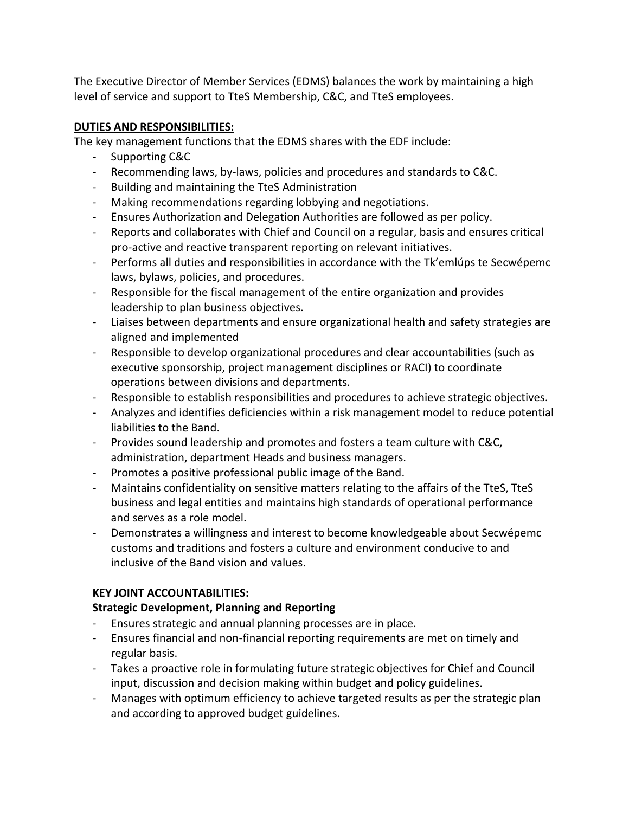The Executive Director of Member Services (EDMS) balances the work by maintaining a high level of service and support to TteS Membership, C&C, and TteS employees.

# **DUTIES AND RESPONSIBILITIES:**

The key management functions that the EDMS shares with the EDF include:

- Supporting C&C
- Recommending laws, by-laws, policies and procedures and standards to C&C.
- Building and maintaining the TteS Administration
- Making recommendations regarding lobbying and negotiations.
- Ensures Authorization and Delegation Authorities are followed as per policy.
- Reports and collaborates with Chief and Council on a regular, basis and ensures critical pro-active and reactive transparent reporting on relevant initiatives.
- Performs all duties and responsibilities in accordance with the Tk'emlúps te Secwépemc laws, bylaws, policies, and procedures.
- Responsible for the fiscal management of the entire organization and provides leadership to plan business objectives.
- Liaises between departments and ensure organizational health and safety strategies are aligned and implemented
- Responsible to develop organizational procedures and clear accountabilities (such as executive sponsorship, project management disciplines or RACI) to coordinate operations between divisions and departments.
- Responsible to establish responsibilities and procedures to achieve strategic objectives.
- Analyzes and identifies deficiencies within a risk management model to reduce potential liabilities to the Band.
- Provides sound leadership and promotes and fosters a team culture with C&C, administration, department Heads and business managers.
- Promotes a positive professional public image of the Band.
- Maintains confidentiality on sensitive matters relating to the affairs of the TteS, TteS business and legal entities and maintains high standards of operational performance and serves as a role model.
- Demonstrates a willingness and interest to become knowledgeable about Secwépemc customs and traditions and fosters a culture and environment conducive to and inclusive of the Band vision and values.

# **KEY JOINT ACCOUNTABILITIES:**

# **Strategic Development, Planning and Reporting**

- Ensures strategic and annual planning processes are in place.
- Ensures financial and non-financial reporting requirements are met on timely and regular basis.
- Takes a proactive role in formulating future strategic objectives for Chief and Council input, discussion and decision making within budget and policy guidelines.
- Manages with optimum efficiency to achieve targeted results as per the strategic plan and according to approved budget guidelines.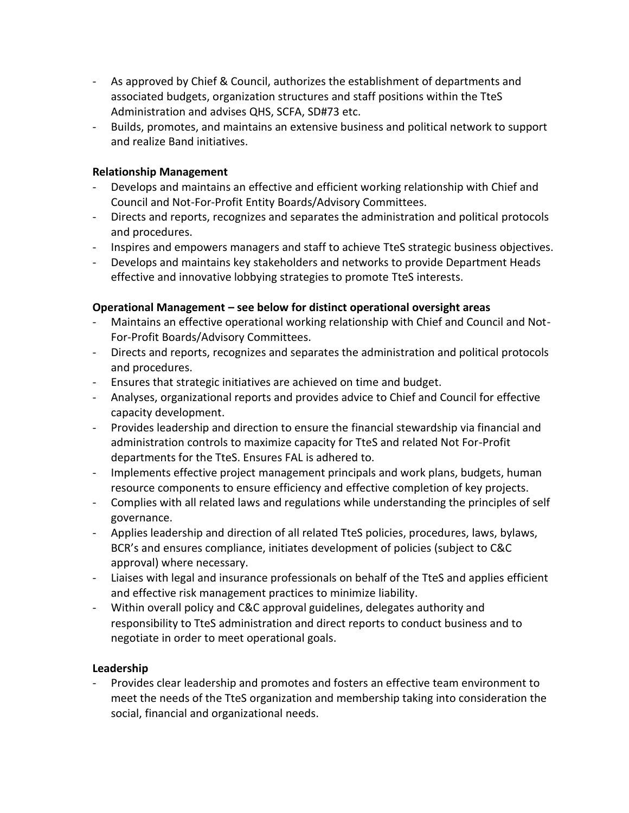- As approved by Chief & Council, authorizes the establishment of departments and associated budgets, organization structures and staff positions within the TteS Administration and advises QHS, SCFA, SD#73 etc.
- Builds, promotes, and maintains an extensive business and political network to support and realize Band initiatives.

#### **Relationship Management**

- Develops and maintains an effective and efficient working relationship with Chief and Council and Not-For-Profit Entity Boards/Advisory Committees.
- Directs and reports, recognizes and separates the administration and political protocols and procedures.
- Inspires and empowers managers and staff to achieve TteS strategic business objectives.
- Develops and maintains key stakeholders and networks to provide Department Heads effective and innovative lobbying strategies to promote TteS interests.

#### **Operational Management – see below for distinct operational oversight areas**

- Maintains an effective operational working relationship with Chief and Council and Not-For-Profit Boards/Advisory Committees.
- Directs and reports, recognizes and separates the administration and political protocols and procedures.
- Ensures that strategic initiatives are achieved on time and budget.
- Analyses, organizational reports and provides advice to Chief and Council for effective capacity development.
- Provides leadership and direction to ensure the financial stewardship via financial and administration controls to maximize capacity for TteS and related Not For-Profit departments for the TteS. Ensures FAL is adhered to.
- Implements effective project management principals and work plans, budgets, human resource components to ensure efficiency and effective completion of key projects.
- Complies with all related laws and regulations while understanding the principles of self governance.
- Applies leadership and direction of all related TteS policies, procedures, laws, bylaws, BCR's and ensures compliance, initiates development of policies (subject to C&C approval) where necessary.
- Liaises with legal and insurance professionals on behalf of the TteS and applies efficient and effective risk management practices to minimize liability.
- Within overall policy and C&C approval guidelines, delegates authority and responsibility to TteS administration and direct reports to conduct business and to negotiate in order to meet operational goals.

#### **Leadership**

- Provides clear leadership and promotes and fosters an effective team environment to meet the needs of the TteS organization and membership taking into consideration the social, financial and organizational needs.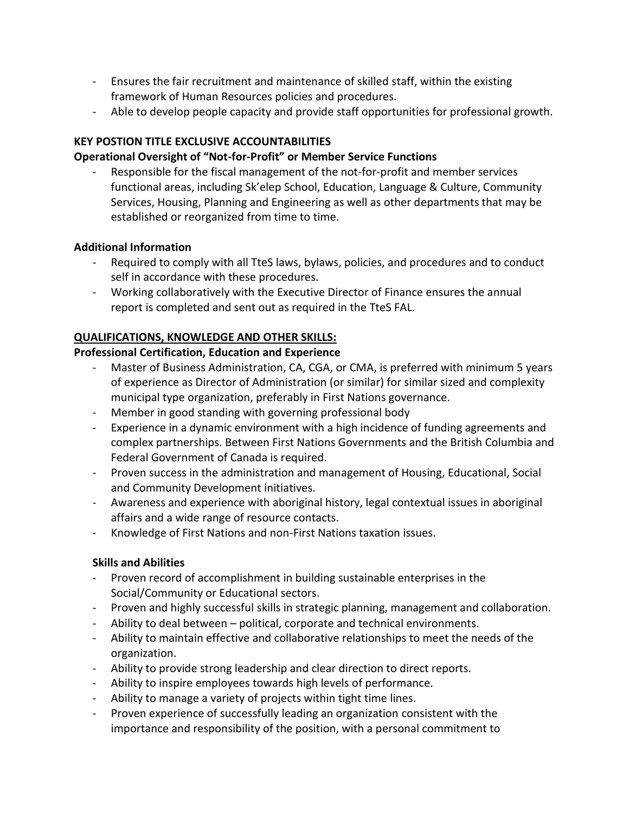- Ensures the fair recruitment and maintenance of skilled staff, within the existing framework of Human Resources policies and procedures.
- Able to develop people capacity and provide staff opportunities for professional growth.

# **KEY POSTION TITLE EXCLUSIVE ACCOUNTABILITIES**

## **Operational Oversight of "Not-for-Profit" or Member Service Functions**

Responsible for the fiscal management of the not-for-profit and member services functional areas, including Sk'elep School, Education, Language & Culture, Community Services, Housing, Planning and Engineering as well as other departments that may be established or reorganized from time to time.

## **Additional Information**

- Required to comply with all TteS laws, bylaws, policies, and procedures and to conduct self in accordance with these procedures.
- Working collaboratively with the Executive Director of Finance ensures the annual report is completed and sent out as required in the TteS FAL.

#### **QUALIFICATIONS, KNOWLEDGE AND OTHER SKILLS:**

#### **Professional Certification, Education and Experience**

- Master of Business Administration, CA, CGA, or CMA, is preferred with minimum 5 years of experience as Director of Administration (or similar) for similar sized and complexity municipal type organization, preferably in First Nations governance.
- Member in good standing with governing professional body
- Experience in a dynamic environment with a high incidence of funding agreements and complex partnerships. Between First Nations Governments and the British Columbia and Federal Government of Canada is required.
- Proven success in the administration and management of Housing, Educational, Social and Community Development initiatives.
- Awareness and experience with aboriginal history, legal contextual issues in aboriginal affairs and a wide range of resource contacts.
- Knowledge of First Nations and non-First Nations taxation issues.

## **Skills and Abilities**

- Proven record of accomplishment in building sustainable enterprises in the Social/Community or Educational sectors.
- Proven and highly successful skills in strategic planning, management and collaboration.
- Ability to deal between political, corporate and technical environments.
- Ability to maintain effective and collaborative relationships to meet the needs of the organization.
- Ability to provide strong leadership and clear direction to direct reports.
- Ability to inspire employees towards high levels of performance.
- Ability to manage a variety of projects within tight time lines.
- Proven experience of successfully leading an organization consistent with the importance and responsibility of the position, with a personal commitment to